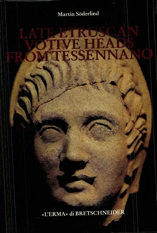# Martin Söderlind

# TIVE HEAL

«L'ERMA» di BRETSCHNEIDER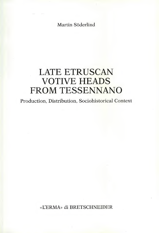Martin Söderlind

# LATE ETRUSCAN VOTIVE HEADS FROM TESSENNANO

Production, Distribution, Sociohistorical Context

L'ERMA>> di BRETSCHNEIDER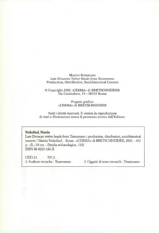MARTIN SODERLIND *Late Etruscan Votive Heads from Tessennano* Production, Distribution, Sociohistorical Context

© Copyright 2002 <<L'ERMA>> di BRETSCHNEIDER Via Cassiodoro, 19 – 00193 Roma

> *Pro getto grafico:* «L'ERMA» di BRETSCHNEIDER

Tutti i diritti riservati. È vietata la riproduzione di testi e illustrazioni senza ii permesso scritto dell'Editore.

#### **Söderlind, Martin**

Late Etruscan votive heads from Tessennano : production, distribution, sociohistorical context / Martin Sdderlind. - Roma: <<L'ERMA>> di BRETSCHNEIDER, 2002. - 433 p. ill. ; 24 cm. - (Studia archaeologica; 118) ISBN 88-8265-186-X

CDD 21. 937.2<br>1. Sculture etrusche - Tessennano

2. Oggetti di scavo etruschi - Tessennano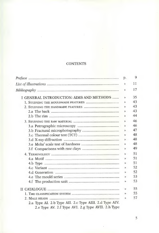## **CONTENTS**

|                                                         | p.            | 9  |
|---------------------------------------------------------|---------------|----|
|                                                         | $\gg$         | 11 |
|                                                         | $\mathcal{V}$ | 17 |
| I GENERAL INTRODUCTION: AIMS AND METHODS                | $\mathcal{P}$ | 35 |
|                                                         | $\mathcal{P}$ | 43 |
|                                                         | $\mathcal{V}$ | 43 |
|                                                         | $\gg$         | 43 |
|                                                         | $\mathcal{V}$ | 44 |
|                                                         | $\mathcal{V}$ | 46 |
|                                                         | $\mathcal{D}$ | 46 |
|                                                         | $\mathcal{V}$ | 47 |
|                                                         | $\mathcal{D}$ | 48 |
|                                                         | $\gg$         | 48 |
|                                                         | $\mathcal{D}$ | 48 |
|                                                         | $\mathcal{V}$ | 49 |
|                                                         | $\mathcal{V}$ | 51 |
|                                                         | $\mathcal{D}$ | 51 |
|                                                         | $\mathcal{D}$ | 51 |
|                                                         | »             | 52 |
|                                                         | $\mathcal{V}$ | 52 |
|                                                         | $\gg$         | 53 |
|                                                         | $\mathcal{V}$ | 53 |
|                                                         | $\mathcal{D}$ | 55 |
|                                                         | $\mathcal{V}$ | 55 |
|                                                         | $\mathcal{P}$ | 57 |
| 2.a Type AI. 2.b Type AII. 2.c Type AIII. 2.d Type AIV. |               |    |
| 2.e Type AV. 2.f Type AVI. 2.g Type AVII. 2.h Type      |               |    |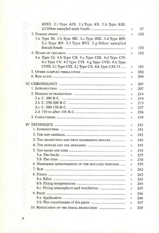| 152<br>AVIII. 2.i Type AIX. 2.j Type AX. 2.k Type AXI.                                                                                                             |                     |            |
|--------------------------------------------------------------------------------------------------------------------------------------------------------------------|---------------------|------------|
|                                                                                                                                                                    | $\mathcal{V}$       | 57         |
| 3.a Type BI. 3.b Type BII. 3.c Type BIII. 3.d Type BIV.<br>$\sim$ $\lambda$<br>3.e Type BV. 3.f Type BVI. 3.g Other sampled                                        | $\mathcal{V}$<br>y) | 153<br>153 |
|                                                                                                                                                                    | $\mathcal{P}$       | 183        |
| 4.a Type CI. 4.b Type CII. 4.c Type CIII. 4.d Type CIV.<br>4.e Type CV. 4.f Type CVI. 4.g Type CVII. 4.h Type<br>CVIII. 4.i Type CIX. 4.j Type CX. 4.k Type CXI 73 |                     |            |
|                                                                                                                                                                    | X)                  | 183        |
|                                                                                                                                                                    | $\mathcal{V}$       | 203        |
|                                                                                                                                                                    | >>                  | 204        |
|                                                                                                                                                                    | $\gg$               | 207        |
|                                                                                                                                                                    | $\mathcal{D}$       | 207        |
|                                                                                                                                                                    | $\mathcal{D}$       | 214        |
|                                                                                                                                                                    | $\gg$               | 214        |
|                                                                                                                                                                    | $\mathcal{D}$       | 215        |
|                                                                                                                                                                    | X)                  | 227        |
|                                                                                                                                                                    | »                   | 236        |
|                                                                                                                                                                    | $\gg$               | 239        |
|                                                                                                                                                                    | X)                  | 241        |
|                                                                                                                                                                    | y)                  | 241        |
|                                                                                                                                                                    | »                   | 241        |
| 3. THE ARCHETYPES AND FIRST GENERATION MOULDS                                                                                                                      | »                   | 245        |
|                                                                                                                                                                    | »                   | 247        |
|                                                                                                                                                                    | $\mathcal{V}$       | 255        |
|                                                                                                                                                                    | $\mathcal{V}$       | 255        |
|                                                                                                                                                                    | »                   | 258        |
| 6. HANDMADE IMPROVEMENTS OF THE MOULDED FEATURES                                                                                                                   | »                   | 259        |
|                                                                                                                                                                    | $\mathcal{D}$       | 262        |
|                                                                                                                                                                    | $\mathcal{V}$       | 263        |
| 8.a Kilns                                                                                                                                                          |                     | 263        |
| <b>CALL OF</b>                                                                                                                                                     | ≫                   | 265        |
|                                                                                                                                                                    | $\mathcal{D}$       | 265        |
|                                                                                                                                                                    | $\gg$               | 266        |
|                                                                                                                                                                    | $\mathcal{P}$       | 266        |
|                                                                                                                                                                    | »                   | 267        |
| ΞI<br>10. REPLICATION OF THE SERIAL PRODUCTION                                                                                                                     | ≫                   | 269        |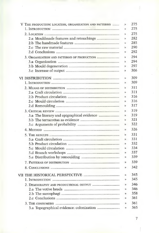| V THE PRODUCTION: LOCATION, ORGANIZATION AND PATTERNS | $\gg$              | 275 |
|-------------------------------------------------------|--------------------|-----|
|                                                       | $\gg$              | 275 |
|                                                       | $\mathcal{D}$      | 275 |
| 2.a Mouldmade features and retouchings                | $\mathcal{V}$      | 282 |
|                                                       | $\mathcal{V}$      | 285 |
|                                                       | $\mathcal{V}$      | 290 |
|                                                       | $\mathcal{D}$      | 292 |
| 3. ORGANIZATION AND PATTERNS OF PRODUCTION            | $\gg$              | 294 |
|                                                       | $\mathcal{D}$      | 294 |
|                                                       | $\mathcal{V}$      | 297 |
|                                                       | Y)                 | 306 |
|                                                       | $\mathcal{Y}$      | 309 |
|                                                       | $\mathcal{D}$      | 309 |
|                                                       | $\mathcal{D}$      | 311 |
|                                                       | $\mathcal{D}$      | 311 |
|                                                       | $\mathcal{V}$      | 316 |
|                                                       | $\mathcal{V}$      | 316 |
|                                                       | $\rightarrow$      | 317 |
|                                                       | $\mathcal{D}$      | 319 |
| 3.a The literary and epigraphical evidence            | $\mathcal{D}$      | 319 |
|                                                       | $\mathcal{D}$      | 321 |
|                                                       | $\mathcal{D}$      | 322 |
|                                                       | $\mathcal{P}$      | 326 |
|                                                       | $\mathcal{V}$      | 331 |
|                                                       | $\boldsymbol{\gg}$ | 331 |
|                                                       | $\mathcal{V}$      | 332 |
|                                                       | $\mathcal{D}$      | 334 |
|                                                       | »                  | 337 |
|                                                       | $\gg$              | 339 |
|                                                       | $\mathcal{D}$      | 339 |
|                                                       | $\mathcal{V}$      | 342 |
|                                                       | $\mathcal{D}$      | 345 |
|                                                       |                    | 345 |
| 2. DEMOGRAPHY AND PRODUCTIONAL OUTPUT                 | $\mathcal{D}$      | 346 |
|                                                       | $\mathcal{D}$      | 346 |
|                                                       | $\mathcal{V}$      | 358 |
|                                                       | $\mathcal{V}$      | 361 |
|                                                       | $\mathcal{V}$      | 361 |
|                                                       | $\mathcal{D}$      | 365 |

 $\boldsymbol{7}$ 

 $\frac{1}{2}$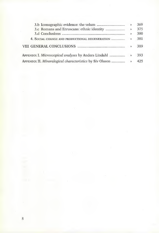|                                                          |               | 369 |
|----------------------------------------------------------|---------------|-----|
|                                                          |               | 375 |
|                                                          | $\mathcal{D}$ | 380 |
|                                                          |               | 381 |
|                                                          |               | 389 |
|                                                          |               | 393 |
| APPENDIX II. Mineralogical characteristics by Siv Olsson | $\mathcal{P}$ | 425 |

 $\sim$ 

 $\overline{\phantom{a}}$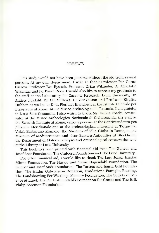#### PREFACE

This study would not have been possible without the aid from several persons. At my own department, I wish to thank Professor Pär Göran Gierow, Professor Eva Rystedt, Professor Orjan Wikander, Dr. Charlotte Wikander and Dr. Paavo Roos. I would also like to express my gratitude to the staff at the Laboratory for Ceramic Research, Lund University, Dr. Anders Lindahi, Dr. Ole Stilborg, Dr. Siv Olsson and Professor Birgitta Hulthén as well as to Dott. Pierluigi Bianchetti at the Istituto Centrale per il Restauro at Rome. At the Museo Archeologico di Tuscania, I am grateful to D.ssa Sara Costantini. I also whish to thank Ms. Enrica Foschi, conservator at the Museo Archeologico Nazionale di Civitavecchia, the staff at the Swedish Institute at Rome, various persons at the Soprintendenza per. l'Etruria Meridionale and at the archaeological museums at Tarquinia, Vulci, Barbarano Romano, the Museum of Villa Giulia in Rome, at the Museum of Mediterranean and Near Eastern Antiquities at Stockholm, the Department of Material analysis and Archaeological conservation and at the Library at Lund University.

This book has been printed with financial aid from The Gunvor and Josef Anér Foundation, The Crafoord Foundation and The Lund University.

For other finanical aid, I would like to thank The Lars Johan Hiertas Minne Foundation, The Harald and Tonny Hagendahl Foundation, The Gunvor and Josef Anér Foundation, The Torsten and Ingrid Gihl Foundation, The Hildur Gabrielsson Donation, Fondazione Famiglia Rausing, The Landshövding Per Westlings Memory Foundation, The Society of Science at Lund, The Per Erik Lindahl's Foundation for Grants and The Erik Philip-Sorensen Foundation.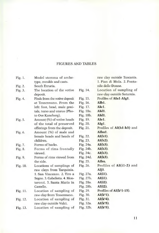### FIGURES AND TABLES

| Fig. 1.  | Model stemma of arche-        |             | raw clay outside Tuscania.  |
|----------|-------------------------------|-------------|-----------------------------|
|          | type, moulds and casts.       |             | 1. Pian di Mola. 2. Fonta-  |
| Fig. 2.  | South Etruria.                |             | nile delle Donne.           |
| Fig. 3.  | The location of the votive    | Fig. 14.    | Location of sampling of     |
|          | deposit.                      |             | raw clay outside Saturnia.  |
| Fig. 4.  | Finds from the votive deposit | Fig. 15.    | Profiles of AIa1-AIg1.      |
|          | at Tessennano. From the       | Fig. 16.    | AIb1.                       |
|          | left: foot, head, male geni-  | Fig. 17.    | AIc1.                       |
|          | tals, torso and uterus (Pho-  | Fig. 18a.   | AId1.                       |
|          | to Ove Kaneberg).             | Fig. 18b.   | AId1.                       |
| Fig. 5.  | Amount (%) of votive heads    | Fig. 19.    | AIe1.                       |
|          | of the total of preserved     | Fig. 20.    | AIg1.                       |
|          | offerings from the deposit.   | Fig. $21$ . | Profiles of AI(h1-h3) and   |
| Fig. 6.  | Amount (%) of male and        |             | $Alh\alpha1$ .              |
|          | female heads and heads of     | Fig. 22.    | $AI(h1)$ .                  |
|          | children.                     | Fig. 23.    | $AI(h2)$ .                  |
| Fig. 7.  | Forms of backs.               | Fig. 24a.   | $AI(h3)$ .                  |
| Fig. 8.  | Forms of rims frontally       | Fig. 24b.   | $AI(h3)$ .                  |
|          | viewed.                       | Fig. 24c.   | $AI(h3)$ .                  |
| Fig. 9.  | Forms of rims viewed from     | Fig. 24d.   | $AI(h3)$ .                  |
|          | the side.                     | Fig. 25.    | AIha.                       |
| Fig. 10. | Locations of samplings of     | Fig. 26.    | Profiles of AI(i1-2) and    |
|          | raw clays from Tarquinia.     |             | AIj1.                       |
|          | 1. San Vincenzo, 2. Tiro a    | Fig. 27a.   | $AI(i1)$ .                  |
|          | Segno. 3. Gabelletta. 4. Mon- | Fig. 27b.   | $AI(i1)$ .                  |
|          | terozzi. 5. Santa Maria in    | Fig. 28a.   | $AI(i2)$ .                  |
|          | Castello.                     | Fig. 28b.   | $AI(i2)$ .                  |
| Fig. 11. | Location of sampling of       | Fig. 29.    | Profiles of $AI(k^11-15)$ . |
|          | raw clay from Tessennano.     | Fig. 30.    | AI(k <sup>1</sup> 1).       |
| Fig. 12. | Location of sampling of       | Fig. 31.    | $AI(k^{1}4).$               |
|          | raw clay outside Vulci.       | Fig. 32a.   | $AI(k15)$ .                 |
| Fig. 13. | Location of sampling of       | Fig. 32b.   | $AI(k15)$ .                 |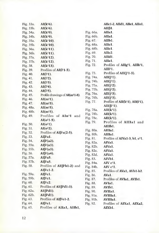| Fig. 33a. | $AI(k^16)$ .                                |           | АПс1-2, АПd1, АПе1, АПα1,                             |
|-----------|---------------------------------------------|-----------|-------------------------------------------------------|
| Fig. 33b. | $AI(k^16)$ .                                |           | AIIB1.                                                |
| Fig. 34a. | $AI(k19)$ .                                 | Fig. 66a. | AIIa1.                                                |
| Fig. 34b. | $AI(k^{19})$ .                              | Fig. 66b. | AIIa1.                                                |
| Fig. 35a. | $AI(k110)$ .                                | Fig. 67.  | AIIb1.                                                |
| Fig. 35b. | AI(k <sup>1</sup> 10).                      | Fig. 68a. | AIIc1.                                                |
| Fig. 36a. | AI(k <sup>1</sup> 11).                      | Fig. 68b. | AIIc1.                                                |
| Fig. 36b. | AI(k <sup>1</sup> 11).                      | Fig. 69.  | AIIc2.                                                |
| Fig. 37a. | AI(k <sup>1</sup> 12).                      | Fig. 70.  | AIId1.                                                |
| Fig. 37b. | AI(k <sup>1</sup> 12).                      | Fig. 71.  | AIIe1.                                                |
| Fig. 38.  | AI(k <sup>1</sup> 13).                      | Fig. 72.  | Profiles of AIIg <sup>1</sup> 1, AIIh <sup>1</sup> 1, |
| Fig. 39.  | Profiles of $AI(111-5)$ .                   |           | AIIi <sup>1</sup> 1.                                  |
| Fig. 40.  | $AI(11)$ .                                  | Fig. 73.  | Profiles of AII(j <sup>1</sup> 1-3).                  |
| Fig. 41.  | $AI(112)$ .                                 | Fig. 74a. | $\mathbf{A}\mathbf{I}$ (j <sup>1</sup> 1).            |
| Fig. 42.  | AI(1 <sup>1</sup> 3).                       | Fig. 74b. | $\mathbf{A}\mathbf{I}$ (j <sup>1</sup> 1).            |
| Fig. 43.  | $AI(14)$ .                                  | Fig. 75a. | $\mathrm{A}\mathrm{II}(j^{1}2).$                      |
| Fig. 44.  | $AI(115)$ .                                 | Fig. 75b. | $\text{A}\text{II}(j^{1}2)$ .                         |
| Fig. 45.  | Profile drawings of AI(m <sup>1</sup> 1-8). | Fig. 76a. | AII(j <sup>1</sup> 3).                                |
| Fig. 46.  | AI(m <sup>1</sup> 1).                       | Fig. 76b. | AI(j <sup>1</sup> 3).                                 |
| Fig. 47.  | AI(m <sup>1</sup> 3).                       | Fig. 77.  | Profiles of $\text{AII}(k^11)$ , $\text{AII}(i^11)$ , |
| Fig. 48a. | $AI(m15)$ .                                 |           | $\text{AI}(\beta^{1}1).$                              |
| Fig. 48b. | $AI(m15)$ .                                 | Fig. 78a. | $\mathrm{AII}(k^11)$ .                                |
| Fig. 49.  | Profiles of AIn <sup>1</sup> 1<br>and       | Fig. 78b. | $\mathrm{AII}(k^11)$ .                                |
|           | $AI(o1 - 5).$                               | Fig. 78c. | $\mathrm{AII}(k^11)$ .                                |
| Fig. 50.  | $AI(o1)$ .                                  | Fig. 79.  | Profiles of AIIIa1 and                                |
| Fig. 51.  | AI(o <sup>1</sup> 2).                       |           | AIIIb1.                                               |
| Fig. 52.  | Profiles of $AI\beta$ <sup>1</sup> a(2-5).  | Fig. 80a. | AIIIa1.                                               |
| Fig. 53.  | $AI\beta$ <sup>1</sup> a1.                  | Fig. 80b. | AIIIa1.                                               |
| Fig. 54.  | $AI\beta^{1}(a2)$ .                         | Fig. 81.  | Profiles of AIVa1-3, b1, c <sup>1</sup> 1.            |
| Fig. 55a. | $AI\beta$ <sup>1</sup> (a3).                | Fig. 82a. | AIVa1.                                                |
| Fig. 55b. | $AI\beta$ <sup>1</sup> (a3).                | Fig. 82b. | AIVa1.                                                |
| Fig. 56.  | $AI\beta$ <sup>1</sup> (a4).                | Fig. 82c. | AIVa1.                                                |
| Fig. 57a. | $AI\beta$ <sup>1</sup> a5.                  | Fig. 82d. | AIVa1.                                                |
| Fig. 57b. | $AI\beta$ <sup>1</sup> a <sub>5</sub> .     | Fig. 83.  | AIVb1.                                                |
| Fig. 58.  | Profiles of $AI(\beta^{1}b1-2)$ and         | Fig. 84a. | AIV c <sup>1</sup> 1.                                 |
|           | $AI\beta$ <sup>1</sup> c1-2.                | Fig. 84b. | AIV c <sup>1</sup> 1.                                 |
| Fig. 59a. | $AI\beta$ <sup>1</sup> c1.                  | Fig. 85.  | Profiles of AVa1, AVb1-b2.                            |
| Fig. 59b. | $AI\beta$ <sup>1</sup> c1.                  | Fig. 86.  | AVa1.                                                 |
| Fig. 60.  | $AI\beta$ <sup>1</sup> c2.                  | Fig. 87.  | Profiles of AVIa1, AVIb1.                             |
| Fig. 61.  | Profiles of $AI(\beta^2d1-3)$ .             | Fig. 88.  | AVIa1.                                                |
| Fig. 62a. | $AI(\beta^2d1).$                            | Fig. 89.  | AVIb1.                                                |
|           | $AI(\beta^2d1)$ .                           | Fig. 90.  | <b>AVIIa1.</b>                                        |
| Fig. 62b. | Profiles of $AI\beta$ <sup>2</sup> e1-2.    | Fig. 91a. | <b>AVIIIa1.</b>                                       |
| Fig. 63.  |                                             | Fig. 91b. | <b>AVIIIa1.</b>                                       |
| Fig. 64.  | $AI\beta^{2}e1.$                            | Fig. 92.  | Profiles of AIXa1, AIXa2,                             |
| Fig. 65.  | Profiles of AIIa1, AIIb1,                   |           | AIXb1.                                                |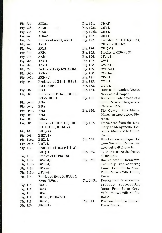| Fig. 93a.  | AIXa1.                        | Fig. 121.  | $CI(a2)$ .                  |
|------------|-------------------------------|------------|-----------------------------|
| Fig. 93b.  | AIXa1.                        | Fig. 122a. | CIIa1.                      |
| Fig. 93c.  | AIXa1.                        | Fig. 122b. | CIIa1.                      |
| Fig. 94.   | AIXa2.                        | Fig. 122c. | CIIa1.                      |
| Fig. 95.   | Profiles of AXa1, AXb1.       | Fig. 123.  | Profiles of CIII(a1-2),     |
| Fig. 96a.  | AXa1.                         |            | CIIIa3, CIIIb1-2.           |
| Fig. 96b.  | AXa1.                         | Fig. 124.  | $CIII(a2)$ .                |
| Fig. 97a.  | AXb1.                         | Fig. 125.  | Profiles of CIV(a1-2).      |
| Fig. 97b.  | AXb1.                         | Fig. 126.  | $CIV(a1)$ .                 |
| Fig. 98a.  | $AXc11$ .                     | Fig. 127.  | CVa1.                       |
| Fig. 98b.  | $AXc11$ .                     | Fig. 128.  | $CVI(a1)$ .                 |
| Fig. 99.   | Profiles of AXI(a1-2), AXIb1. | Fig. 129.  | $\text{CVI}(a1)$ .          |
| Fig. 100a. | $AXI(a1)$ .                   | Fig. 130.  | CVIIIa1.                    |
| Fig. 100b. | AXI(a1).                      | Fig. 131.  | CIXa1.                      |
| Fig. 101.  | Profiles of BIa1, BIb1,       | Fig. 132.  | CXIa1.                      |
|            | BIc1, BId <sup>1</sup> 1.     | Fig. 133.  | CXIa1.                      |
| Fig. 102.  | BIc1.                         | Fig. 134.  | Hermes in Naples. Museo     |
| Fig. 103.  | Profiles of BIIa1, BIIa2,     |            | Nazionale di Napoli.        |
|            | BIIa3, BIIa4.                 | Fig. 135.  | Terracotta votive head of a |
| Fig. 104a. | BIIa                          |            | child. Museo Gregoriano     |
| Fig. 104b. | <b>BIIa</b>                   |            | Etrusco 13761.              |
| Fig. 104c. | BIIa                          | Fig. 136.  | The Orator, Aule Metle.     |
| Fig. 104d. | BIIa                          |            | Museo Archeologico, Flo-    |
| Fig. 105.  | ВПа3.                         |            | rence.                      |
| Fig. 106.  | Profiles of BIIIa(1-3), BII-  | Fig. 137.  | Votive head from the sanc-  |
|            | Ib1, BIIIc1, BIIId1-3.        |            | tuary at Manganello, Cer-   |
| Fig. 107.  | $\text{BIII}(a2)$ .           |            | veteri. Museo Villa Giulia, |
| Fig. 108.  | $BIII(a3)$ .                  |            | Rome.                       |
| Fig. 109a. | BIIIe1.                       | Fig. 138.  | Head of sarcophagus lid     |
| Fig. 109b. | BIIIe1.                       |            | from Tuscania. Museo Ar-    |
| Fig. 110.  | Profiles of $BIII(f'1-2)$ ,   |            | cheologico di Tuscania.     |
|            | $\mathbf{BIIIg}^{1}$ 1.       | Fig. 139.  | Te 9. Museo Archeologico    |
| Fig. 111.  | Profiles of BIV(a1-8).        |            | di Tuscania.                |
| Fig. 112a. | $\mathrm{BIV}(a4)$ .          | Fig. 140a. | Double head in terracotta,  |
| Fig. 112b. | $\text{BIV}(a4)$ .            |            | probably representing       |
| Fig. 113a. | $\text{BIV}(a6)$ .            |            | Janus. From Porta Nord,     |
| Fig. 113b. | $\mathrm{BIV}(a6)$ .          |            | Vulci. Museo Villa Giulia,  |
| Fig. 114.  | Profiles of Bva1-3, BVb1-2,   |            | Rome.                       |
|            | $BVol$ , $BVal$ .             | Fig. 140b. | Double head in terracotta,  |
| Fig. 115.  | Bva1.                         |            | probably representing       |
| Fig. 116.  | Bva3.                         |            | Janus. From Porta Nord,     |
| Fig. 117.  | BVa1.                         |            | Vulci. Museo Villa Giulia,  |
| Fig. 118.  | <b>BVIa1, BVI(a2-3).</b>      |            | Rome.                       |
| Fig. 119.  | <b>BVIa1.</b>                 | Fig. 141.  | Portrait head in bronze.    |
| Fig. 120.  | BVI(a2).                      |            | From Fiesole.               |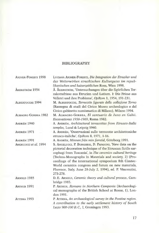#### **BIBLIOGRAPHY**

| <b>AIGNER-FORESTI 1998</b> | LUCIANA AIGNER-FORESTI, Die Integration der Etrusker und<br>das Weiterwirken etruskischen Kulturgutes im repub- |
|----------------------------|-----------------------------------------------------------------------------------------------------------------|
|                            | likanischen und kaiserzeitlichen Rom, Wien 1998.                                                                |
| AKERSTRÖM 1954             | Å. ÅKERSTRÖM, 'Untersuchungen über die figürlichen Ter-                                                         |
|                            | rakottafriese aus Etrurien und Latium. I: Die Friese aus                                                        |
|                            | Velletri und ihre Probleme', OpRom 1, 1954, 191-231.                                                            |
| ALBERTOCCHI 1994           | M. ALBERTOCCHI, Terrecotte figurate della collezione Torno                                                      |
|                            | (Rassegna di studi del Civico Museo archeologico e del                                                          |
|                            | Civico gabinetto numismatico di Milano), Milano 1994.                                                           |
| <b>ALMAGRO GORBEA 1982</b> | M. ALMAGRO-GORBEA, El santuario de Juno en Gabii.                                                               |
|                            | Excavationes 1956-1969, Roma 1982.                                                                              |
| ANDRÉN 1940                | A. ANDRÉN, Architectural terracottas from Etrusco-Italic                                                        |
|                            | temples, Lund & Leipzig 1940.                                                                                   |
| ANDRÉN 1971                | A. ANDRÉN, 'Osservazioni sulle terrecotte architettoniche                                                       |
|                            | etrusco-italiche', OpRom 8, 1971, 1-16.                                                                         |
| ANDRÉN 1991                | A. ANDRÉN, Minnen från min forntid, Göteborg 1991.                                                              |
| ANGELUCCI et al. 1994      | S. ANGELUCCI, P. BORGHESI, D. PAPARONI, 'New data on the                                                        |
|                            | pictorial decoration technique of the Etruscan fictile sar-                                                     |
|                            | cophagi from Tuscania', in The ceramics cultural heritage                                                       |
|                            |                                                                                                                 |
|                            | (Techna-Monographs in Materials and society, 2) (Pro-                                                           |
|                            | ceedings of the international symposium 8th Cimtec-                                                             |
|                            | World ceramics congress and forum on new materials,                                                             |
|                            | Florence, Italy, June 28-July 2, 1994), ed. P. Vincenzini,                                                      |
|                            | 273-278.                                                                                                        |
| ARNOLD 1985                | D. E. ARNOLD, Ceramic theory and cultural process, Cam-                                                         |
|                            | bridge 1985.                                                                                                    |
| ARTHUR 1991                | P. ARTHUR, Romans in Northern Campania (Archaeologi-                                                            |
|                            | cal monographs of the British School at Rome, 1), Lon-                                                          |
|                            | don 1991.                                                                                                       |
| ATTEMA 1993                | P. ATTEMA, An archaeological survey in the Pontine region.                                                      |
|                            | A contribution to the early settlement history of South<br>Lazio 900-100 B.C., I, Groningen 1993.               |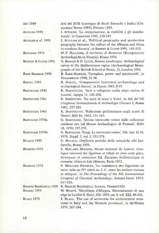| Atti 1989                | Atti del XVII Convegno di Studi Etruschi e Italici (Chi-<br>anciano Terme 1989), Firenze 1993.                                                                                                                                                                    |
|--------------------------|-------------------------------------------------------------------------------------------------------------------------------------------------------------------------------------------------------------------------------------------------------------------|
| <b>ATTOLINI 1985</b>     | I. ArroLINI, 'La centuriazione, la viabilità e gli insedia-<br>menti', in CARANDINI 1985, 139-141.                                                                                                                                                                |
| ATTOLINI et al. 1991     | I. ATTOLINI et al., 'Political geography and productive<br>geography between the valleys of the Albegna and Fiora<br>in northern Etruria', in BARKER & LLOYD 1991, 142-152.                                                                                       |
| <b>BAGLIONE 1976</b>     | M. P. BAGLIONE, Il territorio di Bomarzo (Ricognizioni<br>Archeologiche in Etruria), Roma 1976.                                                                                                                                                                   |
| BARKER & LLOYD 1991      | G. BARKER & D. LLOYD, Roman Landscapes. Archaeological<br>survey in the Mediterranean region (Archaeological Mono-<br>graphs of the British School at Rome, 2), London 1991.                                                                                      |
| <b>BARR SHARRAR 1990</b> | B. BARR-SHARRAR, 'Coroplast, potter and metalsmith', in<br><b>UHLENBROCK 1990, 31-36.</b>                                                                                                                                                                         |
| BARTEL 1985              | B. BARTEL, 'Comparative historical archaeology and<br>archaelogical theory.', in Dyson 1985, 8-37.                                                                                                                                                                |
| BARTOCCINI 1940          | R. BARTOCCINI, 'Arte e religione nella stipe votiva di<br>Lucera', Iapigia 11, 185-298.                                                                                                                                                                           |
| BARTOCCINI 1961          | R. BARTOCCINI, 'Tre anni di scavi a Vulci', in Atti del VII<br>Congresso Internazionale di Archeologia Classica I, Roma<br>1961, 257-281.                                                                                                                         |
| BARTOCCINI 1963          | R. BARTOCCINI, 'Relazione preliminare sugli scavi di<br>Teano', BdA 16, 1963, 131-165.                                                                                                                                                                            |
| BARTOLONI 1970a          | G. BARTOLONI, 'Alcune terrecotte votive dalle collezioni<br>medicee ora nel Museo Archeologico di Firenze', StEtr<br>38, 1970, 257-270.                                                                                                                           |
| BARTOLONI 1970b          | G. BARTOLONI, 'Pyrgi. Le terrecotte votive', NSc (ser. 8) 24,<br>1970, Suppl. 2, vol. 2, 552-578.                                                                                                                                                                 |
| BECATTI 1955             | G. BECATTI, Oreficerie antiche dalle minoiche alle bar-<br>bariche, Roma 1955.                                                                                                                                                                                    |
| BESQUES 1972             | S. MOLLARD BESQUES, Musée national du Louvre, Cata-<br>logue raisonné des figurines et reliefs en terre cuite grecs,<br>étrusques et romaines III, Époques hellénistique et<br>romaine. Grèce et Asie Mineure, Paris 1972.                                        |
| BESQUES 1973             | S. MOLLARD BESQUES, 'Le commerce des figurines en<br>terre cuite au IV <sup>e</sup> siècle av. J.-C. entre les ateliers ioniens<br>et attiques', in The Proceedings of the Xth International<br>Congress of Classical Archaeology, Ankara-Izmir 1973,<br>617-626. |
| Bianchi Bandinelli 1929  | R. BIANCHI BANDINELLI, Sovana, Firenze1929.                                                                                                                                                                                                                       |
| BIZARRI 1959             | M. Bizarri, 'Marsiliana d'Albegna. Rinvenimento di una<br>stipe in località S. Sisto', NSc 1959, ser. 8, vol. XIII, 89-101.                                                                                                                                       |
| <b>BLAGG 1979</b>        | T. BLAGG, 'The use of terracotta for architectural orna-<br>ment in Italy and the Western provinces', in McWHIRR<br>1979, 267-284.                                                                                                                                |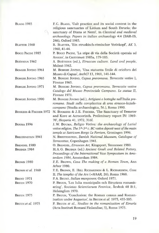| <b>BLAGG 1985</b>        | F.C. BLAGG, 'Cult practice and its social context in the<br>religious sanctuaries of Latium and South Etruria; the                                                                       |
|--------------------------|------------------------------------------------------------------------------------------------------------------------------------------------------------------------------------------|
| Ω,                       | sanctuary of Diana at Nemi', in Classical and medieval<br>archaeology. Papers in italian archaeology 4:4 (BAR-IS,<br>246), Oxford 1985.                                                  |
| <b>BLATTER 1960</b>      | R. BLATTER, 'Ein etruskisch-römischer Votivkopf', AK 3,<br>1960, 41-44.                                                                                                                  |
| Bocci Pacini 1985        | P. Bocci PACINI, 'La stipe di via della Società operaia ad<br>Arezzo', in CRISTOFANI 1985a, 179-185.                                                                                     |
| BOETHIUS 1962            | A. BOETHIUS (ed.), Etruscan culture. Land and people,<br>Malmö 1962.                                                                                                                     |
| BONGHI JOVINO 1961       | M. BONGHI JOVINO, 'Una statuetta fittile di crioforo del<br>Museo di Capua', ArchCl 13, 1961, 141-144.                                                                                   |
| BONGHI JOVINO 1965       | M. BONGHI JOVINO, Capua preromana. Terrecotte votive I,<br>Firenze 1965.                                                                                                                 |
| BONGHI JOVINO 1971       | M. BONGHI JOVINO, Capua preromana. Terrecotte votive<br>Catalogo del Museo Provinciale Campano. Le statue II,<br>Firenze 1971.                                                           |
| BONGHI JOVINO 1990       | M. BONGHI JOVINO (ed.), Artigiani e botteghe nell'Italia pre-<br>romana. Studi sulla coroplastica di area etrusco-laziale-<br>campana (Studia archaeologica, 56.), Roma 1990.            |
| BOOKIDIS & FISCHER 1972  | N. BOOKIDIS & J.E. FISCHER, 'The Sanctuary of Demeter<br>and Kore at Acrocorinth. Preliminary report IV: 1969-<br>70', Hesperia 41, 1972, 316f.                                          |
| <b>BOUMA 1996</b>        | J.W. BOUMA, Religio Votiva: the archaeology of Latial<br>votive religion. The $5th - 3rd$ c. BC votive deposit west of the main<br>temple at Satricum Borgo Le Ferriere, Groningen 1996. |
| <b>BREITENSTEIN 1941</b> | N. BREITENSTEIN, Danish National Museum, Catalogue of<br>Terracottas, Copenhagen 1941.                                                                                                   |
| BRENDEL 1980             | O. BRENDEL, Etruscan Art, Kingsport, Tennessee 1980.                                                                                                                                     |
| BRIJDER 1984             | H.A.G. BRIDER (ed.) Ancient Greek and Related Pottery,<br>Proceedings of the International Vase Symposium in Ams-<br>terdam 1984, Amsterdam 1984.                                        |
| BROWN 1980               | F.E. Brown, Cosa The making of a Roman Town, Ann<br>Arbor 1980.                                                                                                                          |
| BROWN et al. 1960        | F.E. BROWN, E. HILL RICHARDSON & L. RICHARDSON, Cosa<br>II. The temples of the Arx (=MAAR, 26), Roma 1960.                                                                               |
| BRUNT 1971               | P.A. BRUNT, Italian manpower, Oxford 1971.                                                                                                                                               |
| BRUUN 1970               | P. BRUUN, 'Lex Iulia municipalis och Etruriens romanis-<br>ering', Societas Scientiarum Fennica, Arsbok 48 B:1,<br>Helsingfors 1970.                                                     |
| <b>BRUUN 1975</b>        | P. BRUUN, 'Conclusion: the Roman census and Roman-<br>ization under Augustus', in BRUUN et al. 1975, 435-505.                                                                            |
| <b>BRUUN</b> et al. 1975 | P. BRUUN et al., Studies in the romanization of Etruria<br>(Acta Instituti Romani Finlandiae, 5), Roma 1975.                                                                             |

19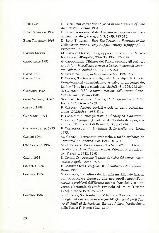| <b>BURR 1934</b>          | D. Burr, Terra-cottas from Myrina in the Museum of Fine<br>Arts, Boston, Vienna 1934.                                                                                                                                                                                       |
|---------------------------|-----------------------------------------------------------------------------------------------------------------------------------------------------------------------------------------------------------------------------------------------------------------------------|
| <b>BURR THOMPSON 1939</b> | D. BURR THOMPSON, 'Mater Caelaturae: Impressions from<br>ancient metalwork' Hesperia 8, 1939, 285-316.                                                                                                                                                                      |
| <b>BURR THOMPSON 1963</b> | D. BURR THOMPSON, Troy. The Terracotta Figurines of the<br>Hellensistic Period, Troy Supplementary Mpnpgraph 3,<br>Princeton 1963.                                                                                                                                          |
| CALVANI MARINI            | M. CALVANI MARINI, 'Un gruppo di terrecotte al Museo<br>Nazionale dell'Aquila', StEtr 36, 1968, 179-192.                                                                                                                                                                    |
| CAMPOREALE 1991           | G. CAMPOREALE, 'L'Ethnos dei Falisci secondo gli scrittori<br>antichi', in Miscellanea etrusca e italica in onore di Massi-<br>mo Pallottino, ArchCl 43, 1991, 209-221.                                                                                                     |
| <b>CAPINI 1991</b>        | S. CAPINI, 'Venafro', in La Romanisation 1991, 21-33.                                                                                                                                                                                                                       |
| CARAFA 1996               | P. CARAFA, 'Le terrecotte figurate della stipe di Ariccia.<br>Considerazioni sull'artigianato artistico di un centro del<br>Latium Vetus in età ellenistica', ArchCl 48, 1996, 273-294.                                                                                     |
| CARANDINI 1985            | A. CARANDINI (ed.) La romanizzazione dell'Etruria: il terri-<br>torio di Vulci, Milano 1985.                                                                                                                                                                                |
| Carta Geologica 1969      | SERVIZIO GEOLOGICO D'ITALIA, Carta geologica d'Italia,<br>Foglio 136, Firenze 1969.                                                                                                                                                                                         |
| CASSOLA 1988              | F. CASSOLA, 'Aspetti sociali e politici della colonizza-<br>zione', DialArch 6, 1988, 5-17.                                                                                                                                                                                 |
| CASTAGNOLI 1974           | F. CASTAGNOLI, Ricognizione archeologica e documen-                                                                                                                                                                                                                         |
|                           | tazione cartografica (Quaderni dell'Istituto di topografia                                                                                                                                                                                                                  |
|                           | antica dell'università di Roma, 6), Roma 1974.                                                                                                                                                                                                                              |
| CASTAGNOLI et al. 1975    | F. CASTAGNOLI et al., Lavinium II, Le tredici are, Roma<br>1975.                                                                                                                                                                                                            |
| CATALDI 1993              | M. CATALDI, 'Terrecotte archaiche e tardo-archaice da<br>Tarquinia', in RYSTEDT et al. 1993, 207-220.                                                                                                                                                                       |
| CELUZZA et al. 1982       | M. G. CELUZZA, EDINA REGOLI, 'La Valle d'Oro nel territo-<br>rio di Cosa. Ager Cosanus e ager Veientanus a confron-<br>to.', D'arch 1, 1982, 31-62.                                                                                                                         |
| CIAGHT 1993               | S. CIAGHI, Le terrecotte figurate da Cales del Museo nazio-<br>nale di Napoli, Roma 1993.                                                                                                                                                                                   |
| COARELLI 1986             | F. COARELLI (ed.), Fregellae II. Il santuario di Esculapio,<br>Roma 1986.                                                                                                                                                                                                   |
| COLONNA 1974              | G. COLONNA, 'La cultura dell'Etruria meridionale interna<br>con particolare riguardo alle necropoli rupestri', in<br>Aspetti e problemi dell'Etruria interna (Atti dell'VIII Con-<br>vegno Nazionale di Studi Etruschi ed Italici [Orvieto<br>1972], Firenze 1974, 253-272. |
| COLONNA 1982              | G. COLONNA, 'La tomba dei Velisina a Norchia e la cro-<br>nologia dei sarcofagi tardo-etruschi', Quaderni per il Cen-<br>tro di Studi di Archeologia. Etrusco-Italico. (Archeologia<br>nella Tuscia I), Roma 1982, 23-34.                                                   |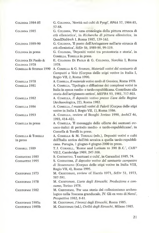| COLONNA 1984-85                    | G. COLONNA, 'Novità sui culti di Pyrgi', RPAA 57, 1984-85,<br>57-88.                                                                                                                     |
|------------------------------------|------------------------------------------------------------------------------------------------------------------------------------------------------------------------------------------|
| COLONNA 1985                       | G. COLONNA, 'Per una cronologia della pittura etrusca di<br>età ellenistica', in Richerche di pittura ellenistica, in<br>QuadDialArch 1, Roma 1985, 139-162.                             |
| COLONNA 1989-90                    | G. COLONNA, 'Il posto dell'Arringatore nell'arte etrusca di<br>età ellenistica', StEtr 56, 1989-90, 99-119.                                                                              |
| COLONNA in press                   | G. COLONNA, 'Depositi votivi tra protostoria e storia', in<br>COMELLA, TORELLI in press.                                                                                                 |
| COLONNA Di Paolo &<br>COLONNA 1978 | E. COLONNA DI PAOLO & G. COLONNA, Norchia I, Roma<br>1978.                                                                                                                               |
|                                    |                                                                                                                                                                                          |
| COMELLA & STEFANI 1990             | A. COMELLA & G. STEFANI, Materiali votivi del santuario di<br>Campetti a Veio (Corpus delle stipi votive in Italia I,<br>Regio VII, 2, Roma 1990.                                        |
| COMELLA 1978                       | A. COMELLA, Il materiale votivo tardo di Gravisca, Roma 1978.                                                                                                                            |
| COMELLA 1981                       | A. COMELLA, 'Tipologia e diffusione dei complessi votivi in<br>Italia in epoca medio- e tardo-repubblicana. Contributo alla<br>storia dell'artigianato antico', MEFRA 93, 1981, 717-803. |
| COMELLA 1982                       | A. COMELLA, Il deposito votivo presso L'ara della Regina<br>(Archaeologica, 22), Roma 1982.                                                                                              |
| Comella 1986                       | A. COMELLA, I materiali votivi di Falerii (Corpus delle stipi<br>votive in Italia I, Regio VII, 1), Roma 1986.                                                                           |
| COMELLA 1993                       | A. COMELLA, review of Bonghi Jovino 1990, ArchCl 46,<br>1993, 414-421.                                                                                                                   |
| COMELLA in press                   | A. COMELLA, 'Il messaggio delle offerte dei santuari etr-<br>usco-italici di periodo medio- e tardo-repubblicano', in<br>Comella & Torelli in press.                                     |
| <b>COMELLA &amp; TORELLI</b>       | A. COMELLA & M. TORELLI (eds.), Depositi votivi e culti                                                                                                                                  |
| in press                           | dell'Italia antica dall'étà arcaica a quella tardo-repubbli-<br>cana. Perugia, 1 giugno-4 giugno 2000 in press.                                                                          |
| CORNELL 1989                       | T.J. CORNELL, 'Rome and Latium to 390 B.C.', CAH3<br>VII:2, Cambridge 1989, 247-308.                                                                                                     |
| COSTANTINI 1985                    | S. COSTANTINI, 'I santuari e culti', in Carandini 1985, 74.                                                                                                                              |
| COSTANTINI 1995                    | S. COSTANTINI, Il deposito votivo del santuario campestre<br>di Tessennano (Corpus delle stipi votive in Italia VIII,<br>Regio VII, 4), Roma 1995.                                       |
| CRISTOFANI 1973                    | M. CRISTOFANI, review of Harris 1971, StEtr 51, 1973,<br>587-591.                                                                                                                        |
| CRISTOFANI 1978                    | M. CRISTOFANI, L'arte degli Etruschi. Produzione e con-<br>sumo, Torino 1978.                                                                                                            |
| CRISTOFANI 1982                    | M. CRISTOFANI, 'Per una storia del collezionismo archeo-<br>logico nella Toscana granducale, IV. Gli ex voto di Nemi',<br>Prospettiva 1982, 8-81.                                        |
| CRISTOFANI 1985a                   | M. CRISTOFANI, I bronzi degli Etruschi, Roma 1985.                                                                                                                                       |
| CRISTOFANI 1985b                   | M. CRISTOFANI (ed.), Civiltà degli Etruschi, Milano 1985.                                                                                                                                |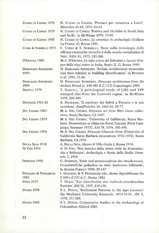| CUOMO DI CAPRIO 1974        | N. CUOMO DI CAPRIO, 'Fornaci per ceramica a Locri',<br>Klearchos 61-64, 1974, 43-65.                                                                               |
|-----------------------------|--------------------------------------------------------------------------------------------------------------------------------------------------------------------|
| CUOMO DI CAPRIO 1979        | N. CUOMO DI CAPRIO, 'Pottery and tile-kilns in South Italy<br>and Sicily', in McWHIRR 1979, 73-95.                                                                 |
| CUOMO DI CAPRIO 1985        | N. Cuomo DI CAPRIO, La ceramica in archeologia (Collana<br>La Fenice, 6), Roma 1985.                                                                               |
| CURRI & SORBELLI 1973       | C. CURRI & S. SORBELLI, 'Note sulla tecnologia delle<br>officine ceramiche etrusche e della scuola coroplastica di<br>Veio', StEtr 41, 1973, 245-266.              |
| D'ERCOLE 1990               | M.C. D'ERCOLE, La stipe votiva del Belvedere a Lucera (Cor-<br>pus delle stipi votive in Italia, Regio II, 2), Roma 1990.                                          |
| DAMGAARD ANDERSEN<br>1993   | H. DAMGAARD ANDERSEN, 'Archaic architectural terracottas<br>and their relation to building identification', in Rysrepr<br>et al. 1993, 71-86.                      |
| DAMGAARD ANDERSEN<br>1999   | H. DAMGAARD ANDERSEN, Etruscan architecture from the<br>Archaic Period (c. 640-480 B.C.) I-V, Copenhagen 1999.                                                     |
| DARVILL 1979                | T. DARVILL, 'A petrological study of LHS and TPF<br>stamped tiles from the Cotswold region', in McWHIRR<br>1979, 309-349.                                          |
| <b>DEGRASSI 1961-62</b>     | A. DEGRASSI, 'Il sepolcro dei Salvii a Ferento e le sue<br>iscrizioni', RendPontAcc 34, 1961-62, 59-77.                                                            |
| DEL CHIARO 1967             | M.A. DEL CHIARO, Etruscan art from West Coast collec-<br>tions, Santa Barbara, CA 1967.                                                                            |
| Del Chiaro 1974             | M.A. DEL CHIARO, 'University of California, Santa Bar-<br>bara. Excavations at Ghiaccio Forte, Tuscany (First Cam-<br>paign, Summer 1973)', AJA 78, 1974, 385-390. |
| DEL CHIARO 1976             | M.A. DEL CHIARO, Etruscan Ghiaccio Forte (University of<br>California Santa Barbara excavations 1972-1973), Santa<br>Barbara, CA 1976.                             |
| DELLA SETA 1918             | A. DELLA SETA, Museo di Villa Giulia I, Roma 1918.                                                                                                                 |
| <b>DI VITA 1954</b>         | A. DI VITA, 'Due matrice della stessa serie da Scornavac-<br>che e Selinunte', Archeologia e Storia della Sicilia Orien-<br>tale, 7, 1954.                         |
| DOBESCH 1998                | G. DOBESCH, 'Ende und metamorphose des etruskertums.<br>Grundsätzliche gedanken zu einer konkreten fallstudie',<br>in AIGNER-FORESTI 1998, 29-147.                 |
| DONDERO & PENSABENE<br>1982 | I. DONDERO & P. PENSABENE eds., Roma Repubblicana fra<br>il 509 e il 270 A.C., Roma 1982.                                                                          |
| Dorn 1937                   | T. DORN, 'Zur Geschichte des italisch-etruskischen<br>Porträts', RM 52, 1937, 119-139.                                                                             |
| <b>DYSON 1978</b>           | S.L. DYSON, 'Settlement Patterns in the Ager Cosanus:<br>the Wesleyan University Research, 1974-1976', JFA 5,<br>1978, 251-268.                                    |
| DYSON 1985                  | S.L. DYSON, Comparative Studies in the Archaeology of<br>Colonialism, Oxford 1985.                                                                                 |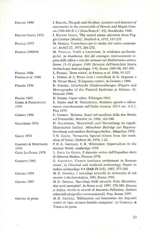| EDLUND 1988                            | I. EDLUND, The gods and the place. Location and function of<br>sanctuaries in the countryside of Etruria and Magna Grae-<br>cia (700-400 B.C.) (Acta Rom-4°, 43), Stockholm 1988.                                                                                                                       |
|----------------------------------------|---------------------------------------------------------------------------------------------------------------------------------------------------------------------------------------------------------------------------------------------------------------------------------------------------------|
| <b>EDLUND GANTZ 1972</b>               | I. EDLUND GANTZ, 'The seated statue akroteria from Pog-<br>gio Civitate (Murlo)', DialArch 6, 1972, 167-235.                                                                                                                                                                                            |
| FENELLI 1975                           | M. FENELLI, 'Contributo per lo studio del votivo anatomi-<br>co', ArchCl 27, 1975, 206-252.                                                                                                                                                                                                             |
| <b>FENELLI 1989/90</b>                 | M. FENELLI, 'Culti a Lavinium: le evidenze archeolo-<br>giche', in Anathema. Atti del convegno internazionale re-<br>gime delle offerte e vita dei santuari nel Mediterraneo antico,<br>Roma 15-18 giugno 1989 (Scienze dell'Antichità Storia<br>Archeologia Antropologia, 3-4), Roma 1989-90, 487-505. |
| FERREA 1986                            | L. FERREA, 'Teste votive', in FERREA et al. 1986, 91-127.                                                                                                                                                                                                                                               |
| FERREA et al. 1986                     | L. FERREA & A. PINNA (con i contributi di D. Degrassi e<br>M. Verzar Bass), 'Il deposito votivo', in COARELLI 1986.                                                                                                                                                                                     |
| FORSÉN 1996                            | B. FORSEN, Griechische Gliederweihungen (Papers and<br>Monographs of the Finnish Institute at Athens, 4),<br>Helsinki 1996.                                                                                                                                                                             |
| FREIER 1965                            | H. FREIER, Caput velare, Tübingen 1965.                                                                                                                                                                                                                                                                 |
| <b>GABBA &amp; PASOUINUCCI</b>         | E. GABBA and M. PASQUINUCCI, Strutture agrarie e alleva-                                                                                                                                                                                                                                                |
| 1979                                   | mento transhumante nell'Italia romana (III-I sec. A.C.),<br>Pisa 1979.                                                                                                                                                                                                                                  |
| GABRICI 1906                           | E. GABRICI, 'Bolsena. Scavi nel sacellum della dea Nortia<br>sul Pozzarello', MonAnt 16, 1906, 169-240.                                                                                                                                                                                                 |
| <b>GALSTERER 1976</b>                  | H. GALSTERER, 'Herrschaft und Verwaltung im repub-<br>likanischen Italien', Münchner Beiträge zur Papyrus-<br>forschung und antiken Rechtsgeschichte., München 1976.                                                                                                                                    |
| <b>GANTZ 1974</b>                      | T.N. GANTZ, 'Terracotta figured friezes from the work-<br>shop of Vulca', OpRom 10, 1974, 1-22.                                                                                                                                                                                                         |
| <b>GARNSEY &amp; WHITTAKER</b><br>1978 | P.D.A. Garnsey, C.R. Whittaker, Imperialism in the<br>Ancient World, cambridge 1978.                                                                                                                                                                                                                    |
| <b>GATTI LO GUZZO 1978</b>             | L. GATTI Lo GUZZO, Il deposito votivo dall'Esquilino detto<br>di Minerva Medica, Firenze 1978.                                                                                                                                                                                                          |
| GAZZETTI 1985                          | G. GAZZETTI, 'Castro territory settlement in Roman<br>times', in Classical and medieval archaeology. Papers in<br>italian archaeology 4:4 (BAR-IS 243), 1985, 275-280.                                                                                                                                  |
| <b>GENTILI 1994</b>                    | M.D. GENTILI, I sarcofagi etruschi in terracotta di età<br><i>recente</i> (=Archaeologica, 108), Roma 1994.                                                                                                                                                                                             |
| <b>GENTILI 1997</b>                    | M.D. GENTILI, 'Sarcofagi fittili etruschi d'età ellenistica:<br>due novi esemplari', in NARDI et al. 1997, 370-380. Etrusca<br>et Italica. Scritti in ricordo di Massimo Pallottino. (Istituti<br>editoriali ploigrafici internazionali), Pisa, Roma 1997.                                              |
| GENTILI in press                       | M.D. GENTILI, 'Riflessioni sul fenomeno dei depositi<br>votivi di tipo etrusco-laziale-campano', in COMELLA &<br>TORELLI in press.                                                                                                                                                                      |

ţ.

23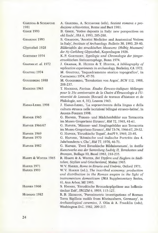| <b>GIARDINA &amp; SCHIAVONE</b> | A. GIARDINA, A. SCHIAVONE (eds), Società romana e pro-                                                                                                                                                                      |
|---------------------------------|-----------------------------------------------------------------------------------------------------------------------------------------------------------------------------------------------------------------------------|
| 1981                            | duzione schiavistica, Rome and Bari 1981.                                                                                                                                                                                   |
| <b>GINGE 1993</b>               | B. GINGE, 'Votive deposits in Italy: new perspectives on<br>old finds', JRA 6, 1993, 285-288.                                                                                                                               |
| <b>GIRARDON 1993</b>            | S. GIRARDON, 'Anceint Medicine and Anatomical Votives<br>in Italy', Institute of Archaeology. Bulletin 30, 1993, 29-40.                                                                                                     |
| Glyptothek 1928                 | Bildertafeln des etruskischen Museums (Helbig Museum)<br>der Ny Carlsberg Glyptothek, Kopenhagen 1928.                                                                                                                      |
| GOETHERT 1974                   | K.P. GOETHERT, Typologie und Chronologie der jünger-<br>etruskischen Steinsarcophage, Bonn 1974.                                                                                                                            |
| GRAHAM et. al. 1972             | J. GRAHAM, R. HEIZER & T. HESTER, A bibliography of<br>replication experiments in archaeology, Berkeley, CA 1972.                                                                                                           |
| GUAITOLI 1974                   | M. GUAITOLI, 'Inquadramento storico topografico', in<br>CASTAGNOLI 1974, 47-70.                                                                                                                                             |
| GUGGISBERG 1988                 | M. GUGGISBERG, 'Terrakotten von Argos', BCH 112, 1988,<br>208-237.                                                                                                                                                          |
| HACKENS 1963                    | T. HACKENS, Favisae. Études Étrusco-italiques Mélanges<br>pour le 25e anniversaire de la Chaire d'Étruscologie à l'U-<br>niversité de Louvain (Recueil de travaux d'histoire et de<br>Philologie, ser. 4, 31), Leuven 1963. |
| HADAS-LEBEL 1998                | J. HADAS-LEBEL, 'La sopravvivenza della lingua e della<br>cultura etrusca nelle iscrizioni bilingui etrusco-latine', in<br>AIGNER-FORESTI 1998.                                                                             |
| HAFNER 1965                     | G. HAFNER, 'Frauen- und Mädchenbilder aus Terracotta<br>im Museo Gregoriano Etrusco', RM 72, 1965, 41-61.                                                                                                                   |
| <b>HAFNER 1966/67</b>           | G. HAFNER, 'Männer- und Jünglingsbilder aus Terracotta<br>im Museo Gregoriano Etrusco', RM 73-74, 1966-67, 29-52.                                                                                                           |
| Hafner 1969                     | G. HAFNER, 'Etruskische Togati', AntPl 9, 1969, 23-45.                                                                                                                                                                      |
| HAFNER 1970                     | G. HAFNER, 'Römische und italische Porträts des 4.<br>Jahrhunderts v. Chr.', RM 77, 1970, 46-71.                                                                                                                            |
| HAFNER 1982                     | G. HAFNER, 'Zwei Etruskische Bildnisstatuen', in Antike<br>Kunstwerke aus der Sammlung Ludvig II, Terrakotten und<br>Bronzen, Beilage 10, Basel 1982, 218-235.                                                              |
| Hampe & Winter 1965             | R. HAMPE & A. WINTER, Bei Töpfern und Zieglern in Südi-<br>talien, Sizilien und Griechenland, Mainz 1965.                                                                                                                   |
| Harris 1971                     | W.V. HARRIS, Rome in Etruria and Umbria, Oxford 1971.                                                                                                                                                                       |
| HARRIS <sub>1993</sub>          | W.V. HARRIS (ed.), The inscribed economy: production<br>and distribution in the Roman empire in the light of<br>instrumentum domesticum (JRA Supplementary Series,<br>6), Ann Arbor, MI 1993.                               |
| Haynes 1960                     | S. HAYNES, 'Etruskische Bronzekopfgefässe aus hellenis-<br>tischer Zeit', JRGZM 6, 1959, 115-127.                                                                                                                           |
| Heimann 1982                    | R.B. HEIMANN, 'Porosimetric investigations of Roman<br>Terra Sigillata molds from Rheinzabern, Germany', in<br>Archaeological ceramics, J. Olin & A. Franklin (eds),<br>Washington D.C. 1982, 209-217.                      |